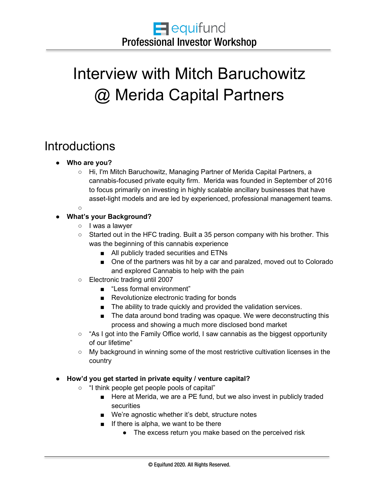# Interview with Mitch Baruchowitz @ Merida Capital Partners

# **Introductions**

- **Who are you?**
	- Hi, I'm Mitch Baruchowitz, Managing Partner of Merida Capital Partners, a cannabis-focused private equity firm. Merida was founded in September of 2016 to focus primarily on investing in highly scalable ancillary businesses that have asset-light models and are led by experienced, professional management teams.
	- $\circ$

# **What's your Background?**

- I was a lawyer
- Started out in the HFC trading. Built a 35 person company with his brother. This was the beginning of this cannabis experience
	- All publicly traded securities and ETNs
	- One of the partners was hit by a car and paralzed, moved out to Colorado and explored Cannabis to help with the pain
- Electronic trading until 2007
	- "Less formal environment"
	- Revolutionize electronic trading for bonds
	- The ability to trade quickly and provided the validation services.
	- The data around bond trading was opaque. We were deconstructing this process and showing a much more disclosed bond market
- "As I got into the Family Office world, I saw cannabis as the biggest opportunity of our lifetime"
- My background in winning some of the most restrictive cultivation licenses in the country
- **How'd you get started in private equity / venture capital?**
	- "I think people get people pools of capital"
		- Here at Merida, we are a PE fund, but we also invest in publicly traded securities
		- We're agnostic whether it's debt, structure notes
		- If there is alpha, we want to be there
			- The excess return you make based on the perceived risk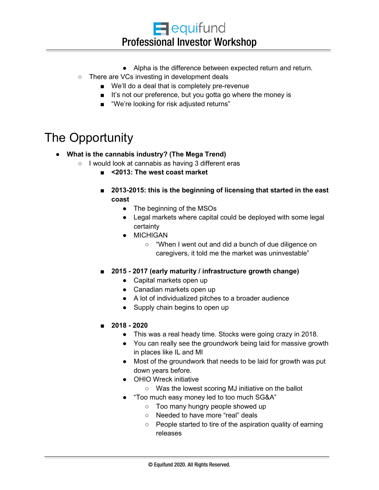$\blacksquare$  equifund Professional Investor Workshop

- Alpha is the difference between expected return and return.
- There are VCs investing in development deals
	- We'll do a deal that is completely pre-revenue
	- It's not our preference, but you gotta go where the money is
	- "We're looking for risk adjusted returns"

# The Opportunity

- **What is the cannabis industry? (The Mega Trend)**
	- I would look at cannabis as having 3 different eras
		- **<2013: The west coast market**
		- **2013-2015: this is the beginning of licensing that started in the east coast**
			- The beginning of the MSOs
			- Legal markets where capital could be deployed with some legal certainty
			- MICHIGAN
				- "When I went out and did a bunch of due diligence on caregivers, it told me the market was uninvestable"
		- **2015 2017 (early maturity / infrastructure growth change)** 
			- Capital markets open up
			- Canadian markets open up
			- A lot of individualized pitches to a broader audience
			- Supply chain begins to open up
		- **2018 - 2020**
			- This was a real heady time. Stocks were going crazy in 2018.
			- You can really see the groundwork being laid for massive growth in places like IL and MI
			- Most of the groundwork that needs to be laid for growth was put down years before.
			- OHIO Wreck initiative
				- Was the lowest scoring MJ initiative on the ballot
			- "Too much easy money led to too much SG&A"
				- Too many hungry people showed up
					- Needed to have more "real" deals
					- People started to tire of the aspiration quality of earning releases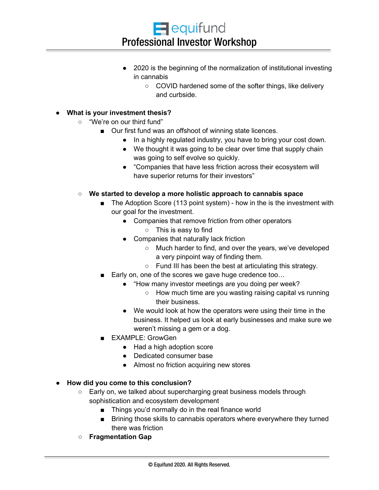- 2020 is the beginning of the normalization of institutional investing in cannabis
	- COVID hardened some of the softer things, like delivery and curbside.

# ● **What is your investment thesis?**

- "We're on our third fund"
	- Our first fund was an offshoot of winning state licences.
		- In a highly regulated industry, you have to bring your cost down.
		- We thought it was going to be clear over time that supply chain was going to self evolve so quickly.
		- "Companies that have less friction across their ecosystem will have superior returns for their investors"

### ○ **We started to develop a more holistic approach to cannabis space**

- The Adoption Score (113 point system) how in the is the investment with our goal for the investment.
	- Companies that remove friction from other operators
		- This is easy to find
	- Companies that naturally lack friction
		- Much harder to find, and over the years, we've developed a very pinpoint way of finding them.
		- Fund III has been the best at articulating this strategy.
- Early on, one of the scores we gave huge credence too...
	- "How many investor meetings are you doing per week?
		- How much time are you wasting raising capital vs running their business.
	- We would look at how the operators were using their time in the business. It helped us look at early businesses and make sure we weren't missing a gem or a dog.
- EXAMPLE: GrowGen
	- Had a high adoption score
	- Dedicated consumer base
	- Almost no friction acquiring new stores

# ● **How did you come to this conclusion?**

- Early on, we talked about supercharging great business models through sophistication and ecosystem development
	- Things you'd normally do in the real finance world
	- Brining those skills to cannabis operators where everywhere they turned there was friction
- **Fragmentation Gap**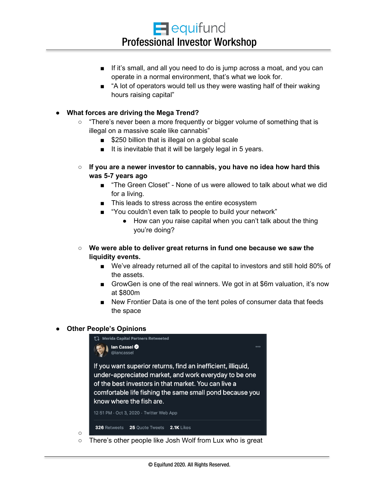$\blacksquare$  equifund Professional Investor Workshop

- If it's small, and all you need to do is jump across a moat, and you can operate in a normal environment, that's what we look for.
- "A lot of operators would tell us they were wasting half of their waking hours raising capital"

### **What forces are driving the Mega Trend?**

- $\circ$  "There's never been a more frequently or bigger volume of something that is illegal on a massive scale like cannabis"
	- \$250 billion that is illegal on a global scale
	- It is inevitable that it will be largely legal in 5 years.
- **If you are a newer investor to cannabis, you have no idea how hard this was 5-7 years ago**
	- "The Green Closet" None of us were allowed to talk about what we did for a living.
	- This leads to stress across the entire ecosystem
	- "You couldn't even talk to people to build your network"
		- How can you raise capital when you can't talk about the thing you're doing?
- **We were able to deliver great returns in fund one because we saw the liquidity events.**
	- We've already returned all of the capital to investors and still hold 80% of the assets.
	- GrowGen is one of the real winners. We got in at \$6m valuation, it's now at \$800m
	- New Frontier Data is one of the tent poles of consumer data that feeds the space

### **Other People's Opinions**

 $\circ$ 



○ There's other people like Josh Wolf from Lux who is great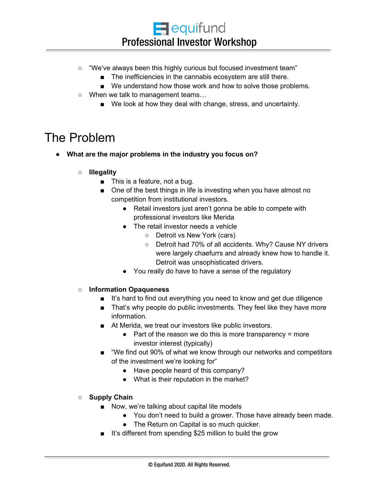- "We've always been this highly curious but focused investment team"
	- The inefficiencies in the cannabis ecosystem are still there.
	- We understand how those work and how to solve those problems.
- When we talk to management teams…
	- We look at how they deal with change, stress, and uncertainty.

# The Problem

- **What are the major problems in the industry you focus on?**
	- **Illegality**
		- This is a feature, not a bug.
		- One of the best things in life is investing when you have almost no competition from institutional investors.
			- Retail investors just aren't gonna be able to compete with professional investors like Merida
			- The retail investor needs a vehicle
				- Detroit vs New York (cars)
				- Detroit had 70% of all accidents. Why? Cause NY drivers were largely chaefurrs and already knew how to handle it. Detroit was unsophisticated drivers.
			- You really do have to have a sense of the regulatory

#### ○ **Information Opaqueness**

- It's hard to find out everything you need to know and get due diligence
- That's why people do public investments. They feel like they have more information.
- At Merida, we treat our investors like public investors.
	- $\bullet$  Part of the reason we do this is more transparency = more investor interest (typically)
- "We find out 90% of what we know through our networks and competitors of the investment we're looking for"
	- Have people heard of this company?
	- What is their reputation in the market?
- **Supply Chain**
	- Now, we're talking about capital lite models
		- You don't need to build a grower. Those have already been made.
		- The Return on Capital is so much quicker.
	- It's different from spending \$25 million to build the grow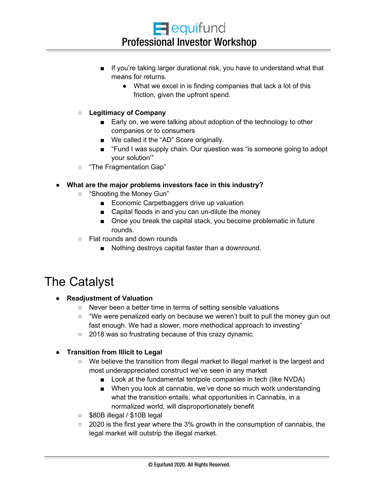- If you're taking larger durational risk, you have to understand what that means for returns.
	- What we excel in is finding companies that lack a lot of this friction, given the upfront spend.

# ○ **Legitimacy of Company**

- Early on, we were talking about adoption of the technology to other companies or to consumers
- We called it the "AD" Score originally.
- "Fund I was supply chain. Our question was "is someone going to adopt your solution'"
- "The Fragmentation Gap"

# ● **What are the major problems investors face in this industry?**

- "Shooting the Money Gun"
	- Economic Carpetbaggers drive up valuation
	- Capital floods in and you can un-dilute the money
	- Once you break the capital stack, you become problematic in future rounds.
- Flat rounds and down rounds
	- Nothing destroys capital faster than a downround.

# The Catalyst

● **Readjustment of Valuation**

- Never been a better time in terms of setting sensible valuations
- "We were penalized early on because we weren't built to pull the money gun out fast enough. We had a slower, more methodical approach to investing"
- 2018 was so frustrating because of this crazy dynamic.

# ● **Transition from Illicit to Legal**

- We believe the transition from illegal market to illegal market is the largest and most underappreciated construct we've seen in any market
	- Look at the fundamental tentpole companies in tech (like NVDA)
	- When you look at cannabis, we've done so much work understanding what the transition entails, what opportunities in Cannabis, in a normalized world, will disproportionately benefit
- \$80B illegal / \$10B legal
- 2020 is the first year where the 3% growth in the consumption of cannabis, the legal market will outstrip the illegal market.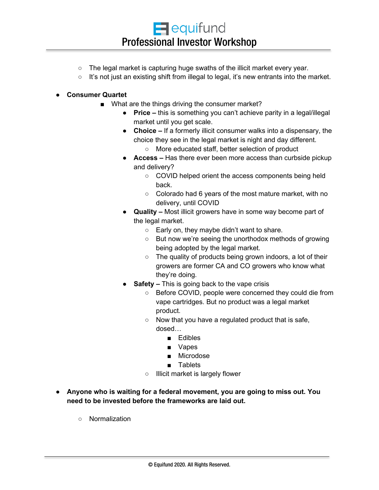- The legal market is capturing huge swaths of the illicit market every year.
- $\circ$  It's not just an existing shift from illegal to legal, it's new entrants into the market.

### ● **Consumer Quartet**

- What are the things driving the consumer market?
	- **Price –** this is something you can't achieve parity in a legal/illegal market until you get scale.
	- **Choice –** If a formerly illicit consumer walks into a dispensary, the choice they see in the legal market is night and day different.
		- More educated staff, better selection of product
	- **Access –** Has there ever been more access than curbside pickup and delivery?
		- COVID helped orient the access components being held back.
		- Colorado had 6 years of the most mature market, with no delivery, until COVID
	- **Quality –** Most illicit growers have in some way become part of the legal market.
		- Early on, they maybe didn't want to share.
		- But now we're seeing the unorthodox methods of growing being adopted by the legal market.
		- The quality of products being grown indoors, a lot of their growers are former CA and CO growers who know what they're doing.
	- **Safety –** This is going back to the vape crisis
		- Before COVID, people were concerned they could die from vape cartridges. But no product was a legal market product.
		- Now that you have a regulated product that is safe, dosed…
			- Edibles
			- Vapes
			- Microdose
			- Tablets
		- Illicit market is largely flower
- **Anyone who is waiting for a federal movement, you are going to miss out. You need to be invested before the frameworks are laid out.**
	- Normalization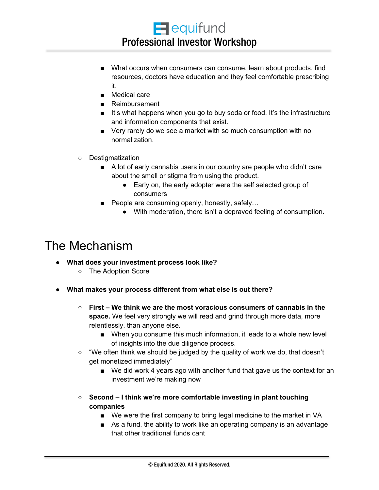$\blacksquare$  equifund Professional Investor Workshop

- What occurs when consumers can consume, learn about products, find resources, doctors have education and they feel comfortable prescribing it.
- Medical care
- Reimbursement
- It's what happens when you go to buy soda or food. It's the infrastructure and information components that exist.
- Very rarely do we see a market with so much consumption with no normalization.
- Destigmatization
	- A lot of early cannabis users in our country are people who didn't care about the smell or stigma from using the product.
		- Early on, the early adopter were the self selected group of consumers
	- People are consuming openly, honestly, safely...
		- With moderation, there isn't a depraved feeling of consumption.

# The Mechanism

- **What does your investment process look like?**
	- The Adoption Score
- **What makes your process different from what else is out there?**
	- **First – We think we are the most voracious consumers of cannabis in the space.** We feel very strongly we will read and grind through more data, more relentlessly, than anyone else.
		- When you consume this much information, it leads to a whole new level of insights into the due diligence process.
	- "We often think we should be judged by the quality of work we do, that doesn't get monetized immediately"
		- We did work 4 years ago with another fund that gave us the context for an investment we're making now
	- **Second – I think we're more comfortable investing in plant touching companies**
		- We were the first company to bring legal medicine to the market in VA
		- As a fund, the ability to work like an operating company is an advantage that other traditional funds cant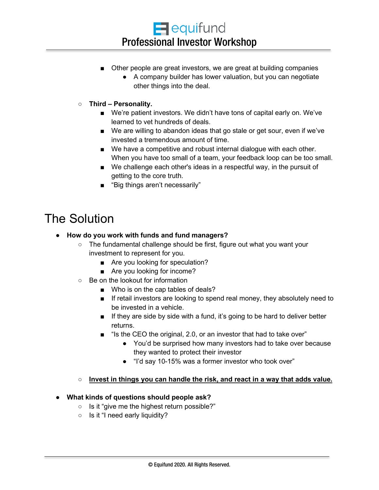- Other people are great investors, we are great at building companies
	- A company builder has lower valuation, but you can negotiate other things into the deal.
- **Third – Personality.**
	- We're patient investors. We didn't have tons of capital early on. We've learned to vet hundreds of deals.
	- We are willing to abandon ideas that go stale or get sour, even if we've invested a tremendous amount of time.
	- We have a competitive and robust internal dialogue with each other. When you have too small of a team, your feedback loop can be too small.
	- We challenge each other's ideas in a respectful way, in the pursuit of getting to the core truth.
	- "Big things aren't necessarily"

# The Solution

- **How do you work with funds and fund managers?**
	- The fundamental challenge should be first, figure out what you want your investment to represent for you.
		- Are you looking for speculation?
		- Are you looking for income?
	- Be on the lookout for information
		- Who is on the cap tables of deals?
		- If retail investors are looking to spend real money, they absolutely need to be invested in a vehicle.
		- If they are side by side with a fund, it's going to be hard to deliver better returns.
		- "Is the CEO the original, 2.0, or an investor that had to take over"
			- You'd be surprised how many investors had to take over because they wanted to protect their investor
			- "I'd say 10-15% was a former investor who took over"
	- **Invest in things you can handle the risk, and react in a way that adds value.**
- **What kinds of questions should people ask?**
	- Is it "give me the highest return possible?"
	- Is it "I need early liquidity?